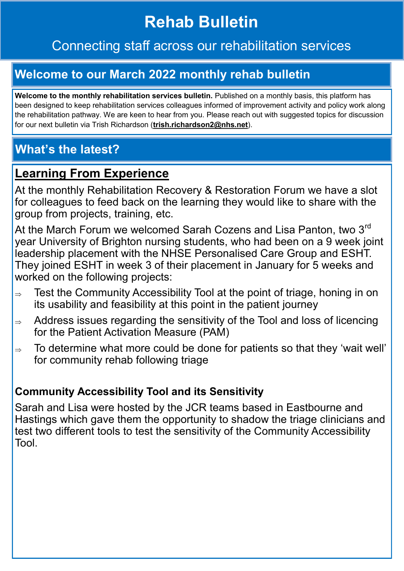# **Rehab Bulletin**

## Connecting staff across our rehabilitation services

## **Welcome to our March 2022 monthly rehab bulletin**

Welcome to the monthly rehabilitation services bulletin. Published on a monthly basis, this platform has been designed to keep rehabilitation services colleagues informed of improvement activity and policy work along the rehabilitation pathway. We are keen to hear from you. Please reach out with suggested topics for discussion for our next bulletin via Trish Richardson (**trish.richardson2@nhs.net**).

## **What's the latest?**

#### **Learning From Experience**

At the monthly Rehabilitation Recovery & Restoration Forum we have a slot for colleagues to feed back on the learning they would like to share with the group from projects, training, etc.

At the March Forum we welcomed Sarah Cozens and Lisa Panton, two 3<sup>rd</sup> year University of Brighton nursing students, who had been on a 9 week joint leadership placement with the NHSE Personalised Care Group and ESHT. They joined ESHT in week 3 of their placement in January for 5 weeks and worked on the following projects:

- $\Rightarrow$  Test the Community Accessibility Tool at the point of triage, honing in on its usability and feasibility at this point in the patient journey
- $\Rightarrow$  Address issues regarding the sensitivity of the Tool and loss of licencing for the Patient Activation Measure (PAM)
- $\Rightarrow$  To determine what more could be done for patients so that they 'wait well' for community rehab following triage

#### **Community Accessibility Tool and its Sensitivity**

Sarah and Lisa were hosted by the JCR teams based in Eastbourne and Hastings which gave them the opportunity to shadow the triage clinicians and test two different tools to test the sensitivity of the Community Accessibility Tool.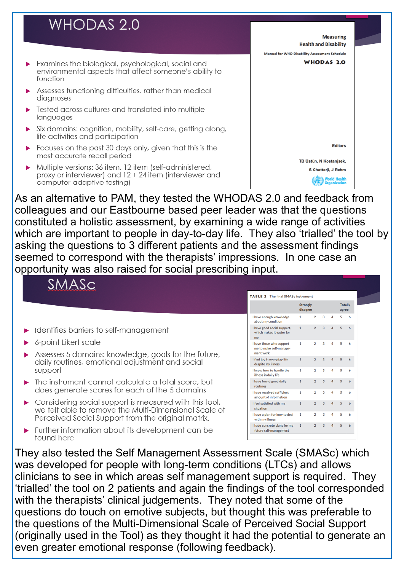## **WHODAS 2.0**

- Examines the biological, psychological, social and environmental aspects that affect someone's ability to function
- Assesses functioning difficulties, rather than medical diagnoses
- Tested across cultures and translated into multiple languages
- Six domains: cognition, mobility, self-care, getting along, life activities and participation
- Focuses on the past 30 days only, given that this is the most accurate recall period
- Multiple versions: 36 item, 12 item (self-administered, proxy or interviewer) and 12 + 24 item (interviewer and computer-adaptive testing)



As an alternative to PAM, they tested the WHODAS 2.0 and feedback from colleagues and our Eastbourne based peer leader was that the questions constituted a holistic assessment, by examining a wide range of activities which are important to people in day-to-day life. They also 'trialled' the tool by asking the questions to 3 different patients and the assessment findings seemed to correspond with the therapists' impressions. In one case an opportunity was also raised for social prescribing input.



- Identifies barriers to self-management
- 6-point Likert scale
- Assesses 5 domains: knowledge, goals for the future, daily routines, emotional adjustment and social support
- The instrument cannot calculate a total score, but does generate scores for each of the 5 domains
- Considering social support is measured with this tool, we felt able to remove the Multi-Dimensional Scale of Perceived Social Support from the original matrix.
- Further information about its development can be found here

| <b>TABLE 2</b> The final SMASc instrument                        |                             |                |                |   |                         |   |  |  |  |  |
|------------------------------------------------------------------|-----------------------------|----------------|----------------|---|-------------------------|---|--|--|--|--|
|                                                                  | <b>Strongly</b><br>disagree |                |                |   | <b>Totally</b><br>agree |   |  |  |  |  |
| I have enough knowledge<br>about my condition                    | 1                           | $\overline{2}$ | 3              | 4 | ς                       | 6 |  |  |  |  |
| I have good social support,<br>which makes it easier for<br>me   | 1                           | $\overline{2}$ | 3              | 4 | 5                       | 6 |  |  |  |  |
| I have those who support<br>me to make self-manage-<br>ment work | 1                           | 2              | 3              | 4 | 5                       | 6 |  |  |  |  |
| I find joy in everyday life<br>despite my illness                | 1                           | $\overline{2}$ | 3              | 4 | 5                       | 6 |  |  |  |  |
| I know how to handle the<br>illness in daily life                | 1                           | 2              | 3              | Δ | 5                       | 6 |  |  |  |  |
| I have found good daily<br>routines                              | $\mathbf{1}$                | $\overline{2}$ | $\overline{3}$ | 4 | 5                       | 6 |  |  |  |  |
| I have received sufficient<br>amount of information              | 1                           | $\overline{2}$ | 3              | 4 | 5                       | 6 |  |  |  |  |
| I feel satisfied with my<br>situation                            | $\mathbf{1}$                | $\overline{2}$ | 3              | 4 | 5                       | 6 |  |  |  |  |
| I have a plan for how to deal<br>with my illness                 | 1                           | $\overline{2}$ | 3              | 4 | 5                       | 6 |  |  |  |  |
| I have concrete plans for my<br>future self-management           | 1                           | 2              | 3              | Δ | 5                       | 6 |  |  |  |  |

They also tested the Self Management Assessment Scale (SMASc) which was developed for people with long-term conditions (LTCs) and allows clinicians to see in which areas self management support is required. They 'trialled' the tool on 2 patients and again the findings of the tool corresponded with the therapists' clinical judgements. They noted that some of the questions do touch on emotive subjects, but thought this was preferable to the questions of the Multi-Dimensional Scale of Perceived Social Support (originally used in the Tool) as they thought it had the potential to generate an even greater emotional response (following feedback).